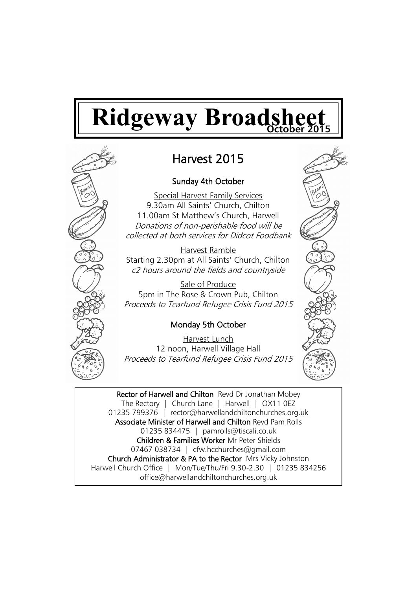# **Ridgeway Broadsheet**



# Harvest 2015

# Sunday 4th October

Special Harvest Family Services 9.30am All Saints' Church, Chilton 11.00am St Matthew's Church, Harwell Donations of non-perishable food will be collected at both services for Didcot Foodbank

Harvest Ramble Starting 2.30pm at All Saints' Church, Chilton c2 hours around the fields and countryside

Sale of Produce 5pm in The Rose & Crown Pub, Chilton Proceeds to Tearfund Refugee Crisis Fund 2015

# Monday 5th October

Harvest Lunch 12 noon, Harwell Village Hall Proceeds to Tearfund Refugee Crisis Fund 2015

Rector of Harwell and Chilton Revd Dr Jonathan Mobey The Rectory | Church Lane | Harwell | OX11 0EZ 01235 799376 | rector@harwellandchiltonchurches.org.uk Associate Minister of Harwell and Chilton Revd Pam Rolls 01235 834475 | pamrolls@tiscali.co.uk Children & Families Worker Mr Peter Shields 07467 038734 | cfw.hcchurches@gmail.com Church Administrator & PA to the Rector Mrs Vicky Johnston Harwell Church Office | Mon/Tue/Thu/Fri 9.30-2.30 | 01235 834256 office@harwellandchiltonchurches.org.uk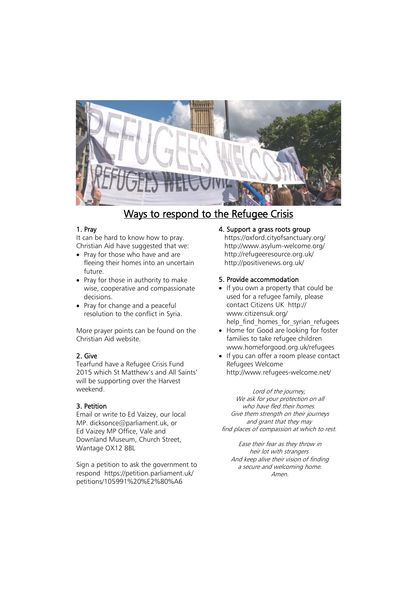

# Ways to respond to the Refugee Crisis

# 1. Pray

It can be hard to know how to pray. Christian Aid have suggested that we:

- Pray for those who have and are fleeing their homes into an uncertain future.
- Pray for those in authority to make wise, cooperative and compassionate decisions.
- Pray for change and a peaceful resolution to the conflict in Syria.

More prayer points can be found on the Christian Aid website.

# 2. Give

Tearfund have a Refugee Crisis Fund 2015 which St Matthew's and All Saints' will be supporting over the Harvest weekend.

# 3. Petition

Email or write to Ed Vaizey, our local MP. dicksonce@parliament.uk, or Ed Vaizey MP Office, Vale and Downland Museum, Church Street, Wantage OX12 8BL

Sign a petition to ask the government to respond https://petition.parliament.uk/ petitions/105991%20%E2%80%A6

# 4. Support a grass roots group

https://oxford.cityofsanctuary.org/ http://www.asylum-welcome.org/ http://refugeeresource.org.uk/ http://positivenews.org.uk/

# 5. Provide accommodation

- If you own a property that could be used for a refugee family, please contact Citizens UK http:// www.citizensuk.org/ help\_find\_homes\_for\_syrian\_refugees
- Home for Good are looking for foster families to take refugee children www.homeforgood.org.uk/refugees
- If you can offer a room please contact Refugees Welcome http://www.refugees-welcome.net/

Lord of the journey, We ask for your protection on all who have fled their homes. Give them strength on their journeys and grant that they may find places of compassion at which to rest.

Ease their fear as they throw in heir lot with strangers And keep alive their vision of finding a secure and welcoming home. Amen.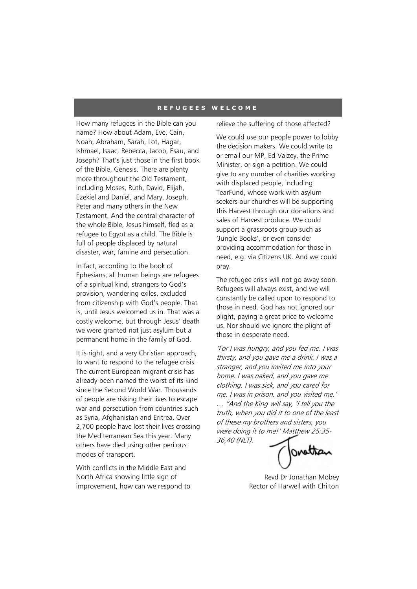#### **R E F U G E E S W E L C O M E**

How many refugees in the Bible can you name? How about Adam, Eve, Cain, Noah, Abraham, Sarah, Lot, Hagar, Ishmael, Isaac, Rebecca, Jacob, Esau, and Joseph? That's just those in the first book of the Bible, Genesis. There are plenty more throughout the Old Testament, including Moses, Ruth, David, Elijah, Ezekiel and Daniel, and Mary, Joseph, Peter and many others in the New Testament. And the central character of the whole Bible, Jesus himself, fled as a refugee to Egypt as a child. The Bible is full of people displaced by natural disaster, war, famine and persecution.

In fact, according to the book of Ephesians, all human beings are refugees of a spiritual kind, strangers to God's provision, wandering exiles, excluded from citizenship with God's people. That is, until Jesus welcomed us in. That was a costly welcome, but through Jesus' death we were granted not just asylum but a permanent home in the family of God.

It is right, and a very Christian approach, to want to respond to the refugee crisis. The current European migrant crisis has already been named the worst of its kind since the Second World War. Thousands of people are risking their lives to escape war and persecution from countries such as Syria, Afghanistan and Eritrea. Over 2,700 people have lost their lives crossing the Mediterranean Sea this year. Many others have died using other perilous modes of transport.

With conflicts in the Middle East and North Africa showing little sign of improvement, how can we respond to relieve the suffering of those affected?

We could use our people power to lobby the decision makers. We could write to or email our MP, Ed Vaizey, the Prime Minister, or sign a petition. We could give to any number of charities working with displaced people, including TearFund, whose work with asylum seekers our churches will be supporting this Harvest through our donations and sales of Harvest produce. We could support a grassroots group such as 'Jungle Books', or even consider providing accommodation for those in need, e.g. via Citizens UK. And we could pray.

The refugee crisis will not go away soon. Refugees will always exist, and we will constantly be called upon to respond to those in need. God has not ignored our plight, paying a great price to welcome us. Nor should we ignore the plight of those in desperate need.

'For I was hungry, and you fed me. I was thirsty, and you gave me a drink. I was a stranger, and you invited me into your home. I was naked, and you gave me clothing. I was sick, and you cared for me. I was in prison, and you visited me.' … "And the King will say, 'I tell you the truth, when you did it to one of the least of these my brothers and sisters, you were doing it to me!' Matthew 25:35- 36,40 (NLT).

ovettan

Revd Dr Jonathan Mobey Rector of Harwell with Chilton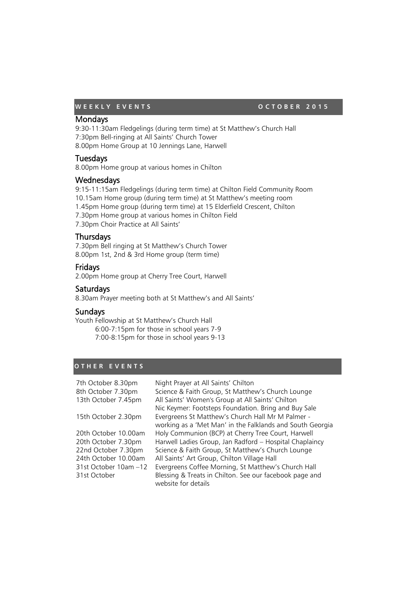# **WEEKLY EVENTS OCTOBER 2015**

# Mondays

9:30-11:30am Fledgelings (during term time) at St Matthew's Church Hall 7:30pm Bell-ringing at All Saints' Church Tower 8.00pm Home Group at 10 Jennings Lane, Harwell

# **Tuesdays**

8.00pm Home group at various homes in Chilton

# **Wednesdays**

9:15-11:15am Fledgelings (during term time) at Chilton Field Community Room 10.15am Home group (during term time) at St Matthew's meeting room 1.45pm Home group (during term time) at 15 Elderfield Crescent, Chilton 7.30pm Home group at various homes in Chilton Field 7.30pm Choir Practice at All Saints'

# **Thursdays**

7.30pm Bell ringing at St Matthew's Church Tower 8.00pm 1st, 2nd & 3rd Home group (term time)

# Fridays

2.00pm Home group at Cherry Tree Court, Harwell

# Saturdays

8.30am Prayer meeting both at St Matthew's and All Saints'

# **Sundays**

Youth Fellowship at St Matthew's Church Hall 6:00-7:15pm for those in school years 7-9 7:00-8:15pm for those in school years 9-13

# **O T H E R E V E N T S**

| 7th October 8.30pm    | Night Prayer at All Saints' Chilton                                            |
|-----------------------|--------------------------------------------------------------------------------|
| 8th October 7.30pm    | Science & Faith Group, St Matthew's Church Lounge                              |
| 13th October 7.45pm   | All Saints' Women's Group at All Saints' Chilton                               |
|                       | Nic Keymer: Footsteps Foundation. Bring and Buy Sale                           |
| 15th October 2.30pm   | Evergreens St Matthew's Church Hall Mr M Palmer -                              |
|                       | working as a 'Met Man' in the Falklands and South Georgia                      |
| 20th October 10.00am  | Holy Communion (BCP) at Cherry Tree Court, Harwell                             |
| 20th October 7.30pm   | Harwell Ladies Group, Jan Radford - Hospital Chaplaincy                        |
| 22nd October 7.30pm   | Science & Faith Group, St Matthew's Church Lounge                              |
| 24th October 10.00am  | All Saints' Art Group, Chilton Village Hall                                    |
| 31st October 10am -12 | Evergreens Coffee Morning, St Matthew's Church Hall                            |
| 31st October          | Blessing & Treats in Chilton. See our facebook page and<br>website for details |
|                       |                                                                                |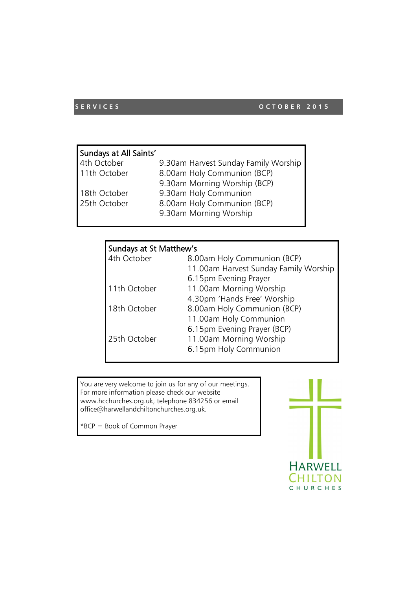# **SERVICES** OCTOBER 2015

| Sundays at All Saints' |                                      |
|------------------------|--------------------------------------|
| 4th October            | 9.30am Harvest Sunday Family Worship |
| 11th October           | 8.00am Holy Communion (BCP)          |
|                        | 9.30am Morning Worship (BCP)         |
| 18th October           | 9.30am Holy Communion                |
| 25th October           | 8.00am Holy Communion (BCP)          |
|                        | 9.30am Morning Worship               |

# Sundays at St Matthew's

| 4th October  | 8.00am Holy Communion (BCP)           |
|--------------|---------------------------------------|
|              | 11.00am Harvest Sunday Family Worship |
|              | 6.15pm Evening Prayer                 |
| 11th October | 11.00am Morning Worship               |
|              | 4.30pm 'Hands Free' Worship           |
| 18th October | 8.00am Holy Communion (BCP)           |
|              | 11.00am Holy Communion                |
|              | 6.15pm Evening Prayer (BCP)           |
| 25th October | 11.00am Morning Worship               |
|              | 6.15pm Holy Communion                 |
|              |                                       |

You are very welcome to join us for any of our meetings. For more information please check our website www.hcchurches.org.uk, telephone 834256 or email office@harwellandchiltonchurches.org.uk.

\*BCP = Book of Common Prayer

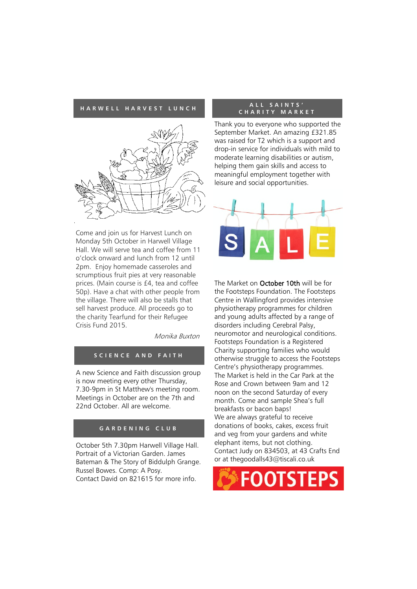#### **H A R W E L L H A R V E S T L U N C H**



Come and join us for Harvest Lunch on Monday 5th October in Harwell Village Hall. We will serve tea and coffee from 11 o'clock onward and lunch from 12 until 2pm. Enjoy homemade casseroles and scrumptious fruit pies at very reasonable prices. (Main course is £4, tea and coffee 50p). Have a chat with other people from the village. There will also be stalls that sell harvest produce. All proceeds go to the charity Tearfund for their Refugee Crisis Fund 2015.

Monika Buxton

# **S C I E N C E A N D F A I T H**

A new Science and Faith discussion group is now meeting every other Thursday, 7.30-9pm in St Matthew's meeting room. Meetings in October are on the 7th and 22nd October. All are welcome.

# **G A R D E N I N G C L U B**

October 5th 7.30pm Harwell Village Hall. Portrait of a Victorian Garden. James Bateman & The Story of Biddulph Grange. Russel Bowes. Comp: A Posy. Contact David on 821615 for more info.

#### **A L L S A I N T S ' C H A R I T Y M A R K E T**

Thank you to everyone who supported the September Market. An amazing £321.85 was raised for T2 which is a support and drop-in service for individuals with mild to moderate learning disabilities or autism, helping them gain skills and access to meaningful employment together with leisure and social opportunities.



The Market on October 10th will be for the Footsteps Foundation. The Footsteps Centre in Wallingford provides intensive physiotherapy programmes for children and young adults affected by a range of disorders including Cerebral Palsy, neuromotor and neurological conditions. Footsteps Foundation is a Registered Charity supporting families who would otherwise struggle to access the Footsteps Centre's physiotherapy programmes. The Market is held in the Car Park at the Rose and Crown between 9am and 12 noon on the second Saturday of every month. Come and sample Shea's full breakfasts or bacon baps! We are always grateful to receive donations of books, cakes, excess fruit and veg from your gardens and white elephant items, but not clothing. Contact Judy on 834503, at 43 Crafts End or at thegoodalls43@tiscali.co.uk

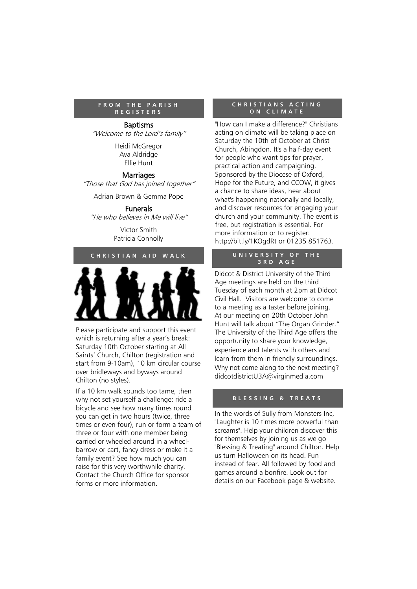#### **F R O M T H E P A R I S H R E G I S T E R S**

#### Baptisms

"Welcome to the Lord's family"

Heidi McGregor Ava Aldridge Ellie Hunt

# **Marriages**

"Those that God has joined together"

Adrian Brown & Gemma Pope

Funerals "He who believes in Me will live"

> Victor Smith Patricia Connolly

# **C H R I S T I A N A I D W A L K**



Please participate and support this event which is returning after a year's break: Saturday 10th October starting at All Saints' Church, Chilton (registration and start from 9-10am), 10 km circular course over bridleways and byways around Chilton (no styles).

If a 10 km walk sounds too tame, then why not set yourself a challenge: ride a bicycle and see how many times round you can get in two hours (twice, three times or even four), run or form a team of three or four with one member being carried or wheeled around in a wheelbarrow or cart, fancy dress or make it a family event? See how much you can raise for this very worthwhile charity. Contact the Church Office for sponsor forms or more information.

# **C H R I S T I A N S A C T I N G O N C L I M A T E**

"How can I make a difference?" Christians acting on climate will be taking place on Saturday the 10th of October at Christ Church, Abingdon. It's a half-day event for people who want tips for prayer, practical action and campaigning. Sponsored by the Diocese of Oxford, Hope for the Future, and CCOW, it gives a chance to share ideas, hear about what's happening nationally and locally, and discover resources for engaging your church and your community. The event is free, but registration is essential. For more information or to register: http://bit.ly/1KOgdRt or 01235 851763.

# **U N I V E R S I T Y O F T H E 3 R D A G E**

Didcot & District University of the Third Age meetings are held on the third Tuesday of each month at 2pm at Didcot Civil Hall. Visitors are welcome to come to a meeting as a taster before joining. At our meeting on 20th October John Hunt will talk about "The Organ Grinder." The University of the Third Age offers the opportunity to share your knowledge, experience and talents with others and learn from them in friendly surroundings. Why not come along to the next meeting? didcotdistrictU3A@virginmedia.com

# **B L E S S I N G & T R E A T S**

In the words of Sully from Monsters Inc, "Laughter is 10 times more powerful than screams". Help your children discover this for themselves by joining us as we go "Blessing & Treating" around Chilton. Help us turn Halloween on its head. Fun instead of fear. All followed by food and games around a bonfire. Look out for details on our Facebook page & website.